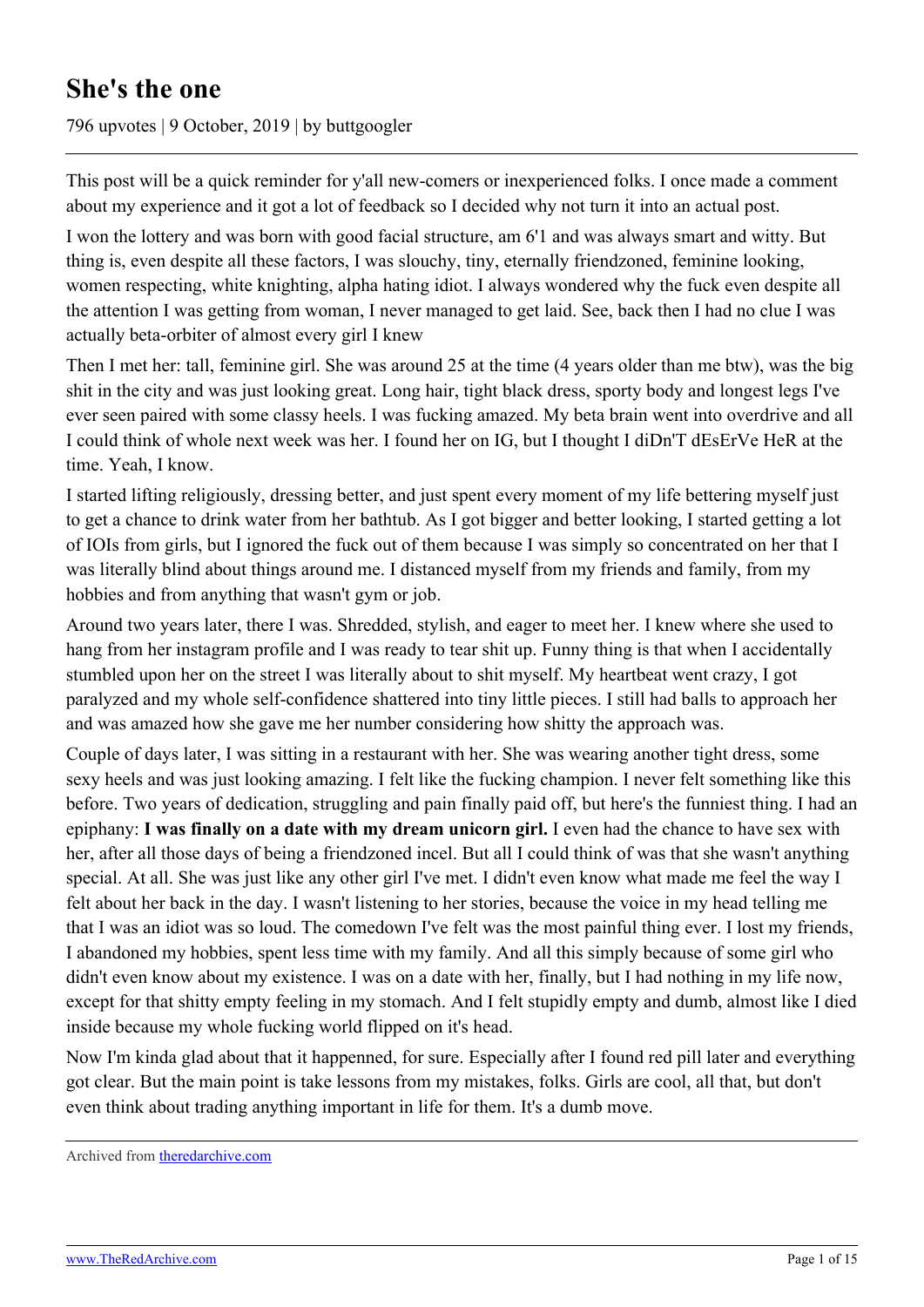# **She's the one**

796 upvotes | 9 October, 2019 | by buttgoogler

This post will be a quick reminder for y'all new-comers or inexperienced folks. I once made a comment about my experience and it got a lot of feedback so I decided why not turn it into an actual post.

I won the lottery and was born with good facial structure, am 6'1 and was always smart and witty. But thing is, even despite all these factors, I was slouchy, tiny, eternally friendzoned, feminine looking, women respecting, white knighting, alpha hating idiot. I always wondered why the fuck even despite all the attention I was getting from woman, I never managed to get laid. See, back then I had no clue I was actually beta-orbiter of almost every girl I knew

Then I met her: tall, feminine girl. She was around 25 at the time (4 years older than me btw), was the big shit in the city and was just looking great. Long hair, tight black dress, sporty body and longest legs I've ever seen paired with some classy heels. I was fucking amazed. My beta brain went into overdrive and all I could think of whole next week was her. I found her on IG, but I thought I diDn'T dEsErVe HeR at the time. Yeah, I know.

I started lifting religiously, dressing better, and just spent every moment of my life bettering myself just to get a chance to drink water from her bathtub. As I got bigger and better looking, I started getting a lot of IOIs from girls, but I ignored the fuck out of them because I was simply so concentrated on her that I was literally blind about things around me. I distanced myself from my friends and family, from my hobbies and from anything that wasn't gym or job.

Around two years later, there I was. Shredded, stylish, and eager to meet her. I knew where she used to hang from her instagram profile and I was ready to tear shit up. Funny thing is that when I accidentally stumbled upon her on the street I was literally about to shit myself. My heartbeat went crazy, I got paralyzed and my whole self-confidence shattered into tiny little pieces. I still had balls to approach her and was amazed how she gave me her number considering how shitty the approach was.

Couple of days later, I was sitting in a restaurant with her. She was wearing another tight dress, some sexy heels and was just looking amazing. I felt like the fucking champion. I never felt something like this before. Two years of dedication, struggling and pain finally paid off, but here's the funniest thing. I had an epiphany: **I was finally on a date with my dream unicorn girl.** I even had the chance to have sex with her, after all those days of being a friendzoned incel. But all I could think of was that she wasn't anything special. At all. She was just like any other girl I've met. I didn't even know what made me feel the way I felt about her back in the day. I wasn't listening to her stories, because the voice in my head telling me that I was an idiot was so loud. The comedown I've felt was the most painful thing ever. I lost my friends, I abandoned my hobbies, spent less time with my family. And all this simply because of some girl who didn't even know about my existence. I was on a date with her, finally, but I had nothing in my life now, except for that shitty empty feeling in my stomach. And I felt stupidly empty and dumb, almost like I died inside because my whole fucking world flipped on it's head.

Now I'm kinda glad about that it happenned, for sure. Especially after I found red pill later and everything got clear. But the main point is take lessons from my mistakes, folks. Girls are cool, all that, but don't even think about trading anything important in life for them. It's a dumb move.

Archived from [theredarchive.com](https://theredarchive.com/r/TheRedPill/shes-the-one.289503)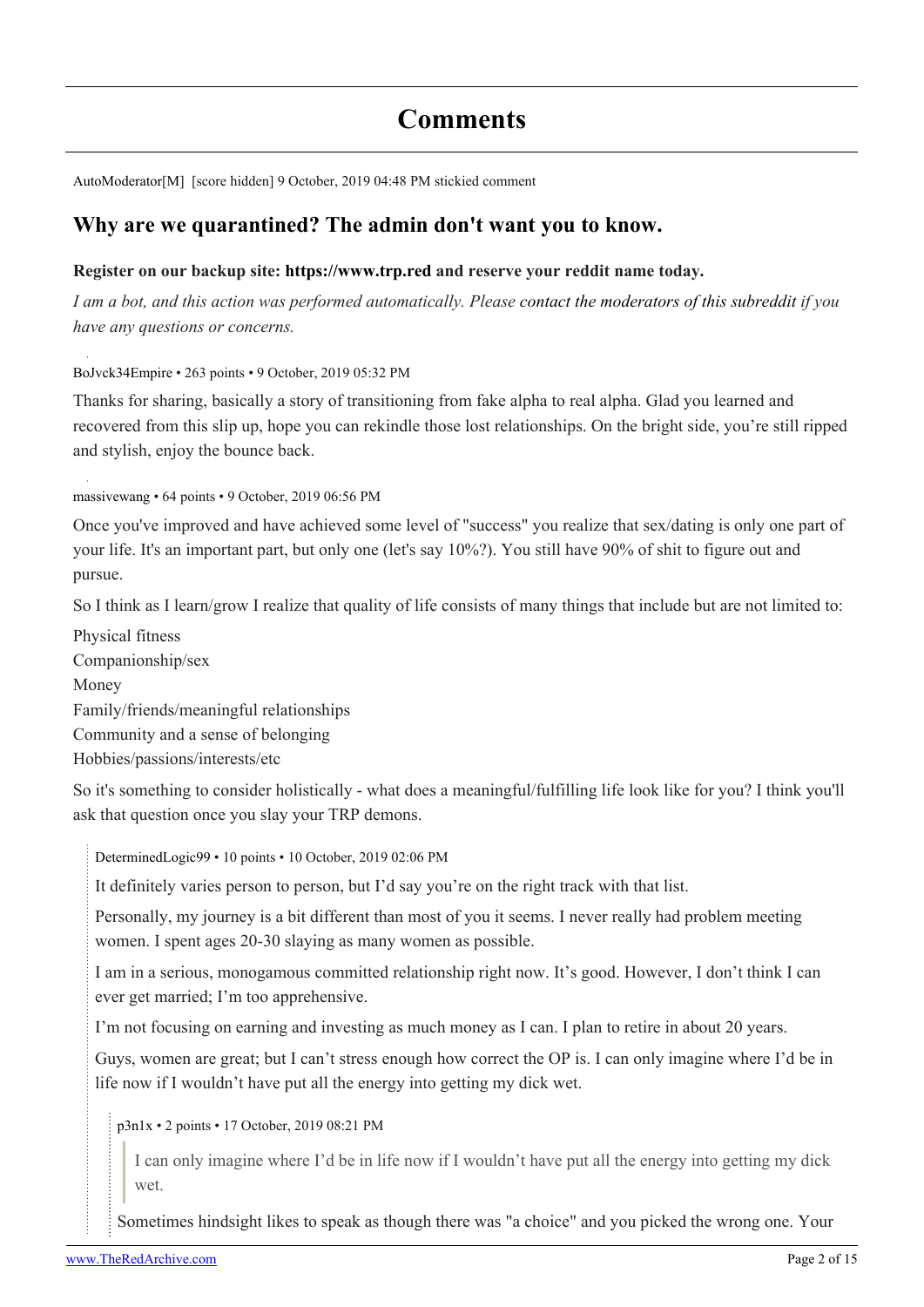## **Comments**

[AutoModerator\[](https://old.reddit.com/user/AutoModerator)[M\]](https://theredarchive.com/r/TheRedPill/about/moderators) [score hidden] 9 October, 2019 04:48 PM stickied comment

### **[Why are we quarantined? The admin don't want you to know.](https://www.reddit.com/r/TheRedPill/comments/9sdg04/more_silence_from_reddit_administration_a_failure/)**

#### **Register on our backup site: <https://www.trp.red> and reserve your reddit name today.**

*I am a bot, and this action was performed automatically. Please [contact the moderators of this subreddit](https://theredarchive.com/message/compose/?to=/r/TheRedPill) if you have any questions or concerns.*

[BoJvck34Empire](https://old.reddit.com/user/BoJvck34Empire) • 263 points • 9 October, 2019 05:32 PM

Thanks for sharing, basically a story of transitioning from fake alpha to real alpha. Glad you learned and recovered from this slip up, hope you can rekindle those lost relationships. On the bright side, you're still ripped and stylish, enjoy the bounce back.

[massivewang](https://old.reddit.com/user/massivewang) • 64 points • 9 October, 2019 06:56 PM

Once you've improved and have achieved some level of "success" you realize that sex/dating is only one part of your life. It's an important part, but only one (let's say 10%?). You still have 90% of shit to figure out and pursue.

So I think as I learn/grow I realize that quality of life consists of many things that include but are not limited to:

Physical fitness Companionship/sex Money Family/friends/meaningful relationships Community and a sense of belonging Hobbies/passions/interests/etc

So it's something to consider holistically - what does a meaningful/fulfilling life look like for you? I think you'll ask that question once you slay your TRP demons.

[DeterminedLogic99](https://old.reddit.com/user/DeterminedLogic99) • 10 points • 10 October, 2019 02:06 PM

It definitely varies person to person, but I'd say you're on the right track with that list.

Personally, my journey is a bit different than most of you it seems. I never really had problem meeting women. I spent ages 20-30 slaying as many women as possible.

I am in a serious, monogamous committed relationship right now. It's good. However, I don't think I can ever get married; I'm too apprehensive.

I'm not focusing on earning and investing as much money as I can. I plan to retire in about 20 years.

Guys, women are great; but I can't stress enough how correct the OP is. I can only imagine where I'd be in life now if I wouldn't have put all the energy into getting my dick wet.

[p3n1x](https://old.reddit.com/user/p3n1x) • 2 points • 17 October, 2019 08:21 PM

I can only imagine where I'd be in life now if I wouldn't have put all the energy into getting my dick wet.

Sometimes hindsight likes to speak as though there was "a choice" and you picked the wrong one. Your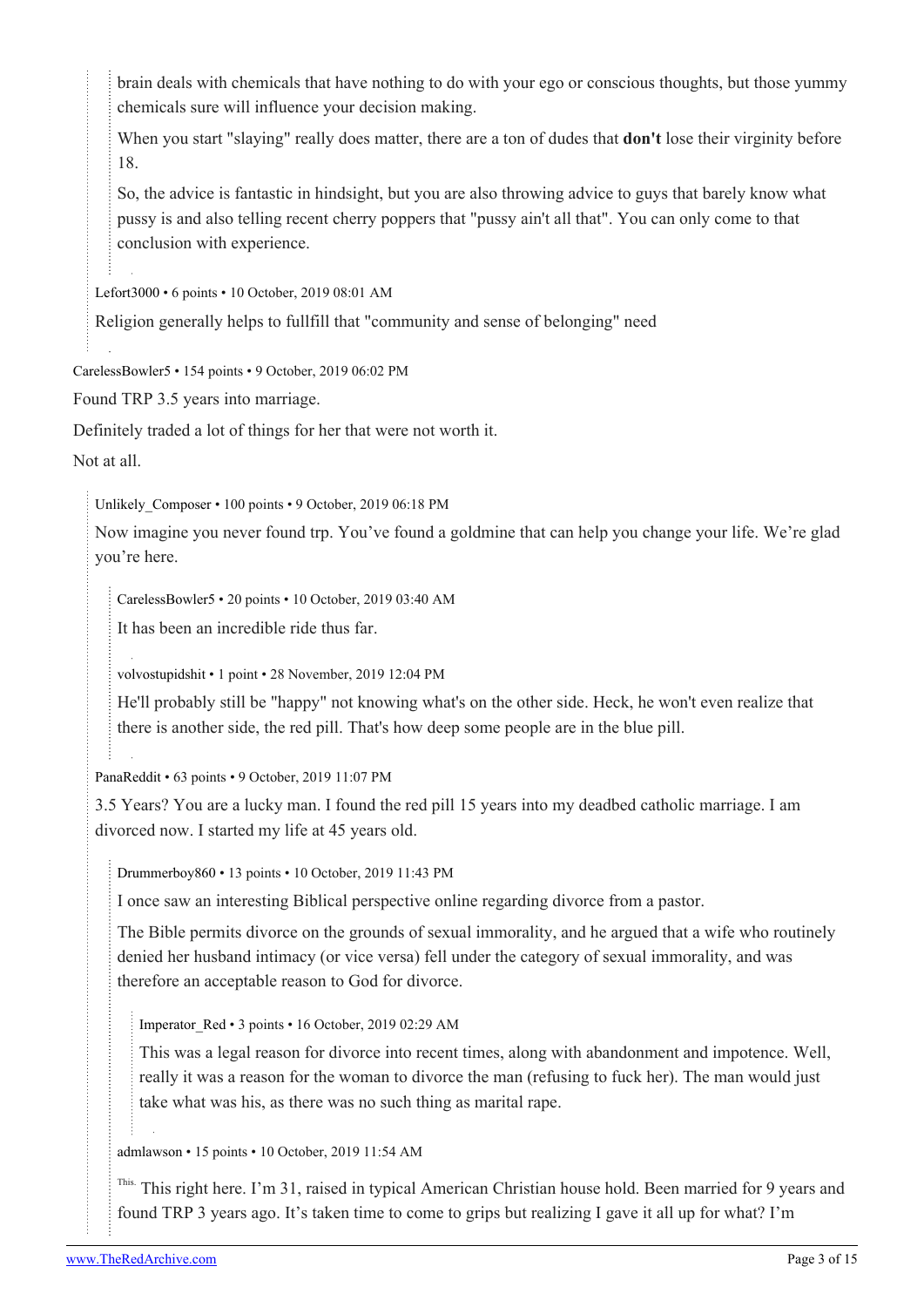brain deals with chemicals that have nothing to do with your ego or conscious thoughts, but those yummy chemicals sure will influence your decision making.

When you start "slaying" really does matter, there are a ton of dudes that **don't** lose their virginity before 18.

So, the advice is fantastic in hindsight, but you are also throwing advice to guys that barely know what pussy is and also telling recent cherry poppers that "pussy ain't all that". You can only come to that conclusion with experience.

[Lefort3000](https://old.reddit.com/user/Lefort3000) • 6 points • 10 October, 2019 08:01 AM

Religion generally helps to fullfill that "community and sense of belonging" need

[CarelessBowler5](https://old.reddit.com/user/CarelessBowler5) • 154 points • 9 October, 2019 06:02 PM

Found TRP 3.5 years into marriage.

Definitely traded a lot of things for her that were not worth it.

Not at all.

Unlikely Composer • 100 points • 9 October, 2019 06:18 PM

Now imagine you never found trp. You've found a goldmine that can help you change your life. We're glad you're here.

[CarelessBowler5](https://old.reddit.com/user/CarelessBowler5) • 20 points • 10 October, 2019 03:40 AM

It has been an incredible ride thus far.

[volvostupidshit](https://old.reddit.com/user/volvostupidshit) • 1 point • 28 November, 2019 12:04 PM

He'll probably still be "happy" not knowing what's on the other side. Heck, he won't even realize that there is another side, the red pill. That's how deep some people are in the blue pill.

[PanaReddit](https://old.reddit.com/user/PanaReddit) • 63 points • 9 October, 2019 11:07 PM

3.5 Years? You are a lucky man. I found the red pill 15 years into my deadbed catholic marriage. I am divorced now. I started my life at 45 years old.

[Drummerboy860](https://old.reddit.com/user/Drummerboy860) • 13 points • 10 October, 2019 11:43 PM

I once saw an interesting Biblical perspective online regarding divorce from a pastor.

The Bible permits divorce on the grounds of sexual immorality, and he argued that a wife who routinely denied her husband intimacy (or vice versa) fell under the category of sexual immorality, and was therefore an acceptable reason to God for divorce.

[Imperator\\_Red](https://old.reddit.com/user/Imperator_Red) • 3 points • 16 October, 2019 02:29 AM

This was a legal reason for divorce into recent times, along with abandonment and impotence. Well, really it was a reason for the woman to divorce the man (refusing to fuck her). The man would just take what was his, as there was no such thing as marital rape.

[admlawson](https://old.reddit.com/user/admlawson) • 15 points • 10 October, 2019 11:54 AM

<sup>This.</sup> This right here. I'm 31, raised in typical American Christian house hold. Been married for 9 years and found TRP 3 years ago. It's taken time to come to grips but realizing I gave it all up for what? I'm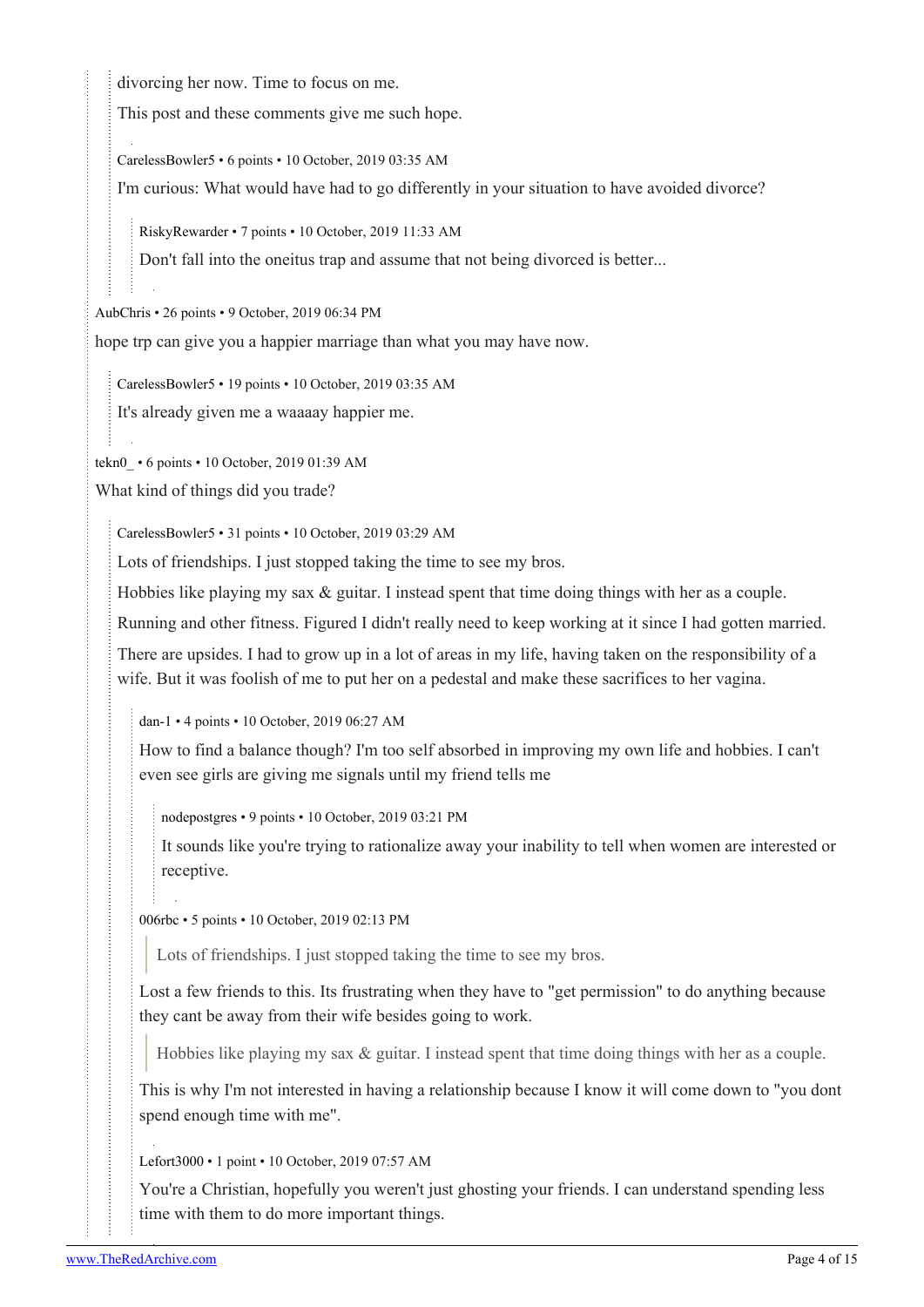divorcing her now. Time to focus on me.

This post and these comments give me such hope.

[CarelessBowler5](https://old.reddit.com/user/CarelessBowler5) • 6 points • 10 October, 2019 03:35 AM

I'm curious: What would have had to go differently in your situation to have avoided divorce?

[RiskyRewarder](https://old.reddit.com/user/RiskyRewarder) • 7 points • 10 October, 2019 11:33 AM

Don't fall into the oneitus trap and assume that not being divorced is better...

[AubChris](https://old.reddit.com/user/AubChris) • 26 points • 9 October, 2019 06:34 PM

hope trp can give you a happier marriage than what you may have now.

[CarelessBowler5](https://old.reddit.com/user/CarelessBowler5) • 19 points • 10 October, 2019 03:35 AM

It's already given me a waaaay happier me.

[tekn0\\_](https://old.reddit.com/user/tekn0_) • 6 points • 10 October, 2019 01:39 AM

What kind of things did you trade?

[CarelessBowler5](https://old.reddit.com/user/CarelessBowler5) • 31 points • 10 October, 2019 03:29 AM

Lots of friendships. I just stopped taking the time to see my bros.

Hobbies like playing my sax & guitar. I instead spent that time doing things with her as a couple.

Running and other fitness. Figured I didn't really need to keep working at it since I had gotten married.

There are upsides. I had to grow up in a lot of areas in my life, having taken on the responsibility of a wife. But it was foolish of me to put her on a pedestal and make these sacrifices to her vagina.

[dan-1](https://old.reddit.com/user/dan-1) • 4 points • 10 October, 2019 06:27 AM

How to find a balance though? I'm too self absorbed in improving my own life and hobbies. I can't even see girls are giving me signals until my friend tells me

[nodepostgres](https://old.reddit.com/user/nodepostgres) • 9 points • 10 October, 2019 03:21 PM

It sounds like you're trying to rationalize away your inability to tell when women are interested or receptive.

[006rbc](https://old.reddit.com/user/006rbc) • 5 points • 10 October, 2019 02:13 PM

Lots of friendships. I just stopped taking the time to see my bros.

Lost a few friends to this. Its frustrating when they have to "get permission" to do anything because they cant be away from their wife besides going to work.

Hobbies like playing my sax & guitar. I instead spent that time doing things with her as a couple.

This is why I'm not interested in having a relationship because I know it will come down to "you dont spend enough time with me".

[Lefort3000](https://old.reddit.com/user/Lefort3000) • 1 point • 10 October, 2019 07:57 AM

You're a Christian, hopefully you weren't just ghosting your friends. I can understand spending less time with them to do more important things.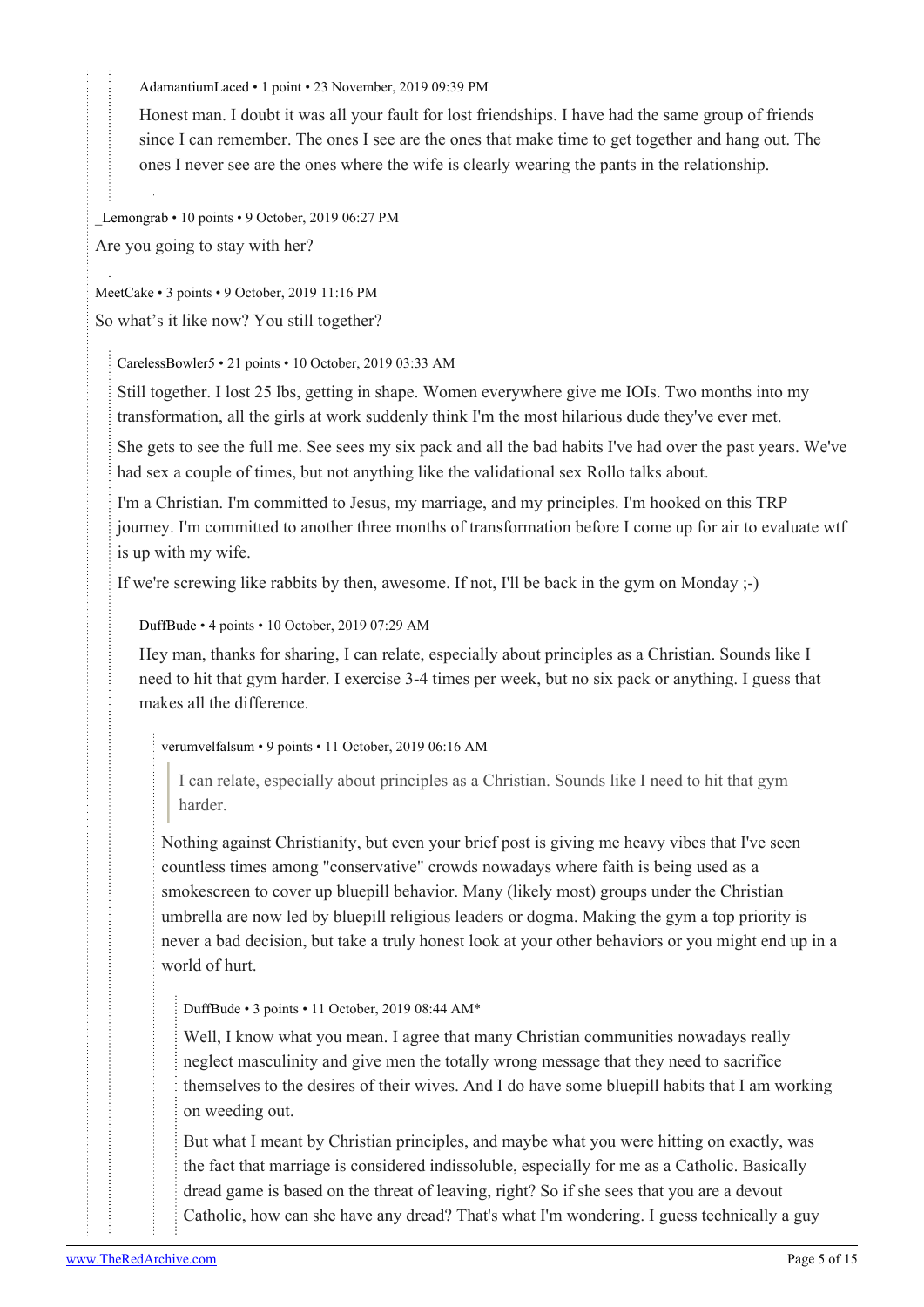[AdamantiumLaced](https://old.reddit.com/user/AdamantiumLaced) • 1 point • 23 November, 2019 09:39 PM

Honest man. I doubt it was all your fault for lost friendships. I have had the same group of friends since I can remember. The ones I see are the ones that make time to get together and hang out. The ones I never see are the ones where the wife is clearly wearing the pants in the relationship.

[\\_Lemongrab](https://old.reddit.com/user/_Lemongrab) • 10 points • 9 October, 2019 06:27 PM

Are you going to stay with her?

[MeetCake](https://old.reddit.com/user/MeetCake) • 3 points • 9 October, 2019 11:16 PM So what's it like now? You still together?

[CarelessBowler5](https://old.reddit.com/user/CarelessBowler5) • 21 points • 10 October, 2019 03:33 AM

Still together. I lost 25 lbs, getting in shape. Women everywhere give me IOIs. Two months into my transformation, all the girls at work suddenly think I'm the most hilarious dude they've ever met.

She gets to see the full me. See sees my six pack and all the bad habits I've had over the past years. We've had sex a couple of times, but not anything like the validational sex Rollo talks about.

I'm a Christian. I'm committed to Jesus, my marriage, and my principles. I'm hooked on this TRP journey. I'm committed to another three months of transformation before I come up for air to evaluate wtf is up with my wife.

If we're screwing like rabbits by then, awesome. If not, I'll be back in the gym on Monday ;-)

[DuffBude](https://old.reddit.com/user/DuffBude) • 4 points • 10 October, 2019 07:29 AM

Hey man, thanks for sharing, I can relate, especially about principles as a Christian. Sounds like I need to hit that gym harder. I exercise 3-4 times per week, but no six pack or anything. I guess that makes all the difference.

[verumvelfalsum](https://old.reddit.com/user/verumvelfalsum) • 9 points • 11 October, 2019 06:16 AM

I can relate, especially about principles as a Christian. Sounds like I need to hit that gym harder.

Nothing against Christianity, but even your brief post is giving me heavy vibes that I've seen countless times among "conservative" crowds nowadays where faith is being used as a smokescreen to cover up bluepill behavior. Many (likely most) groups under the Christian umbrella are now led by bluepill religious leaders or dogma. Making the gym a top priority is never a bad decision, but take a truly honest look at your other behaviors or you might end up in a world of hurt.

[DuffBude](https://old.reddit.com/user/DuffBude) • 3 points • 11 October, 2019 08:44 AM\*

Well, I know what you mean. I agree that many Christian communities nowadays really neglect masculinity and give men the totally wrong message that they need to sacrifice themselves to the desires of their wives. And I do have some bluepill habits that I am working on weeding out.

But what I meant by Christian principles, and maybe what you were hitting on exactly, was the fact that marriage is considered indissoluble, especially for me as a Catholic. Basically dread game is based on the threat of leaving, right? So if she sees that you are a devout Catholic, how can she have any dread? That's what I'm wondering. I guess technically a guy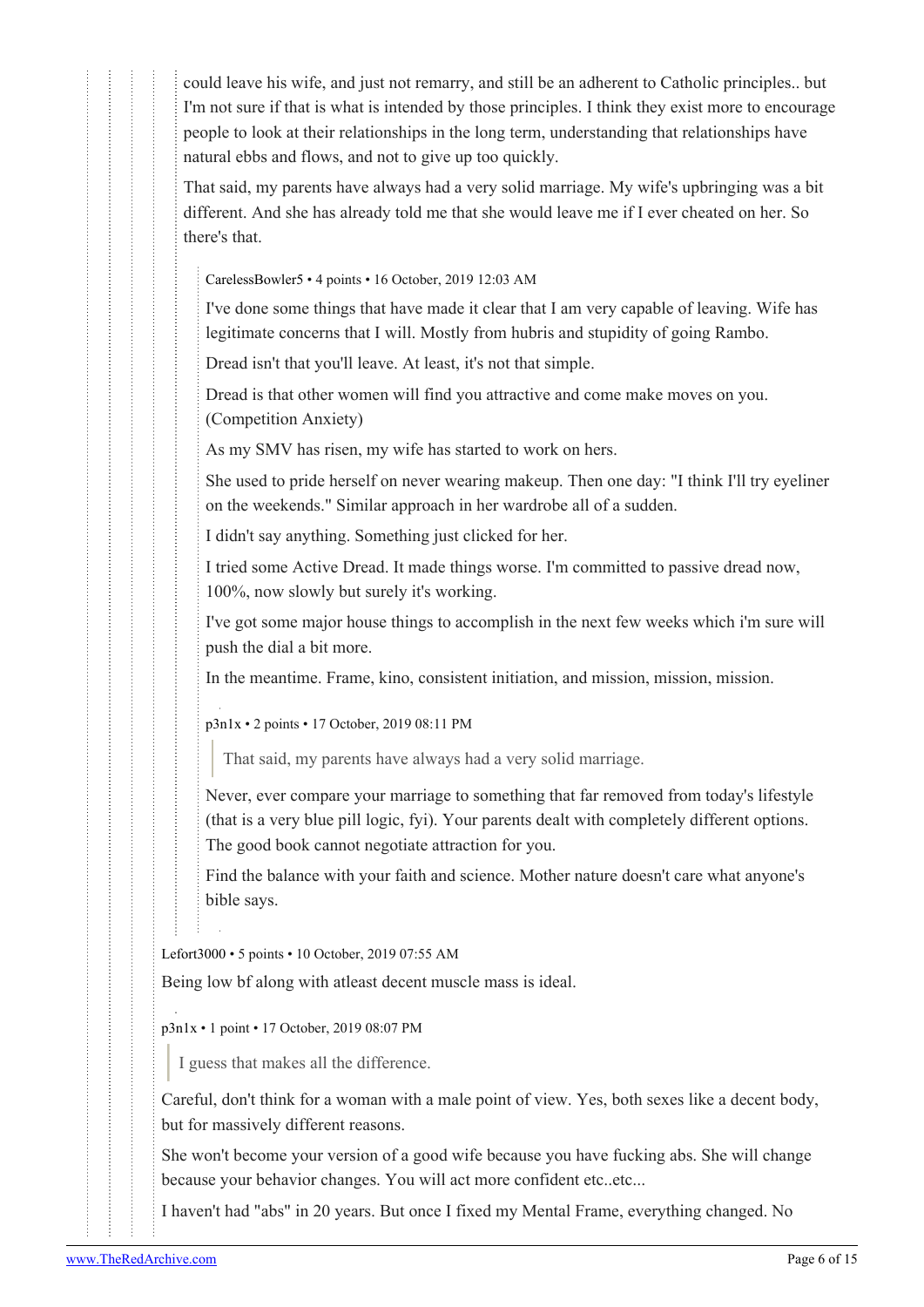could leave his wife, and just not remarry, and still be an adherent to Catholic principles.. but I'm not sure if that is what is intended by those principles. I think they exist more to encourage people to look at their relationships in the long term, understanding that relationships have natural ebbs and flows, and not to give up too quickly.

That said, my parents have always had a very solid marriage. My wife's upbringing was a bit different. And she has already told me that she would leave me if I ever cheated on her. So there's that.

[CarelessBowler5](https://old.reddit.com/user/CarelessBowler5) • 4 points • 16 October, 2019 12:03 AM

I've done some things that have made it clear that I am very capable of leaving. Wife has legitimate concerns that I will. Mostly from hubris and stupidity of going Rambo.

Dread isn't that you'll leave. At least, it's not that simple.

Dread is that other women will find you attractive and come make moves on you. (Competition Anxiety)

As my SMV has risen, my wife has started to work on hers.

She used to pride herself on never wearing makeup. Then one day: "I think I'll try eyeliner on the weekends." Similar approach in her wardrobe all of a sudden.

I didn't say anything. Something just clicked for her.

I tried some Active Dread. It made things worse. I'm committed to passive dread now, 100%, now slowly but surely it's working.

I've got some major house things to accomplish in the next few weeks which i'm sure will push the dial a bit more.

In the meantime. Frame, kino, consistent initiation, and mission, mission, mission.

[p3n1x](https://old.reddit.com/user/p3n1x) • 2 points • 17 October, 2019 08:11 PM

That said, my parents have always had a very solid marriage.

Never, ever compare your marriage to something that far removed from today's lifestyle (that is a very blue pill logic, fyi). Your parents dealt with completely different options. The good book cannot negotiate attraction for you.

Find the balance with your faith and science. Mother nature doesn't care what anyone's bible says.

[Lefort3000](https://old.reddit.com/user/Lefort3000) • 5 points • 10 October, 2019 07:55 AM

Being low bf along with atleast decent muscle mass is ideal.

[p3n1x](https://old.reddit.com/user/p3n1x) • 1 point • 17 October, 2019 08:07 PM

I guess that makes all the difference.

Careful, don't think for a woman with a male point of view. Yes, both sexes like a decent body, but for massively different reasons.

She won't become your version of a good wife because you have fucking abs. She will change because your behavior changes. You will act more confident etc..etc...

I haven't had "abs" in 20 years. But once I fixed my Mental Frame, everything changed. No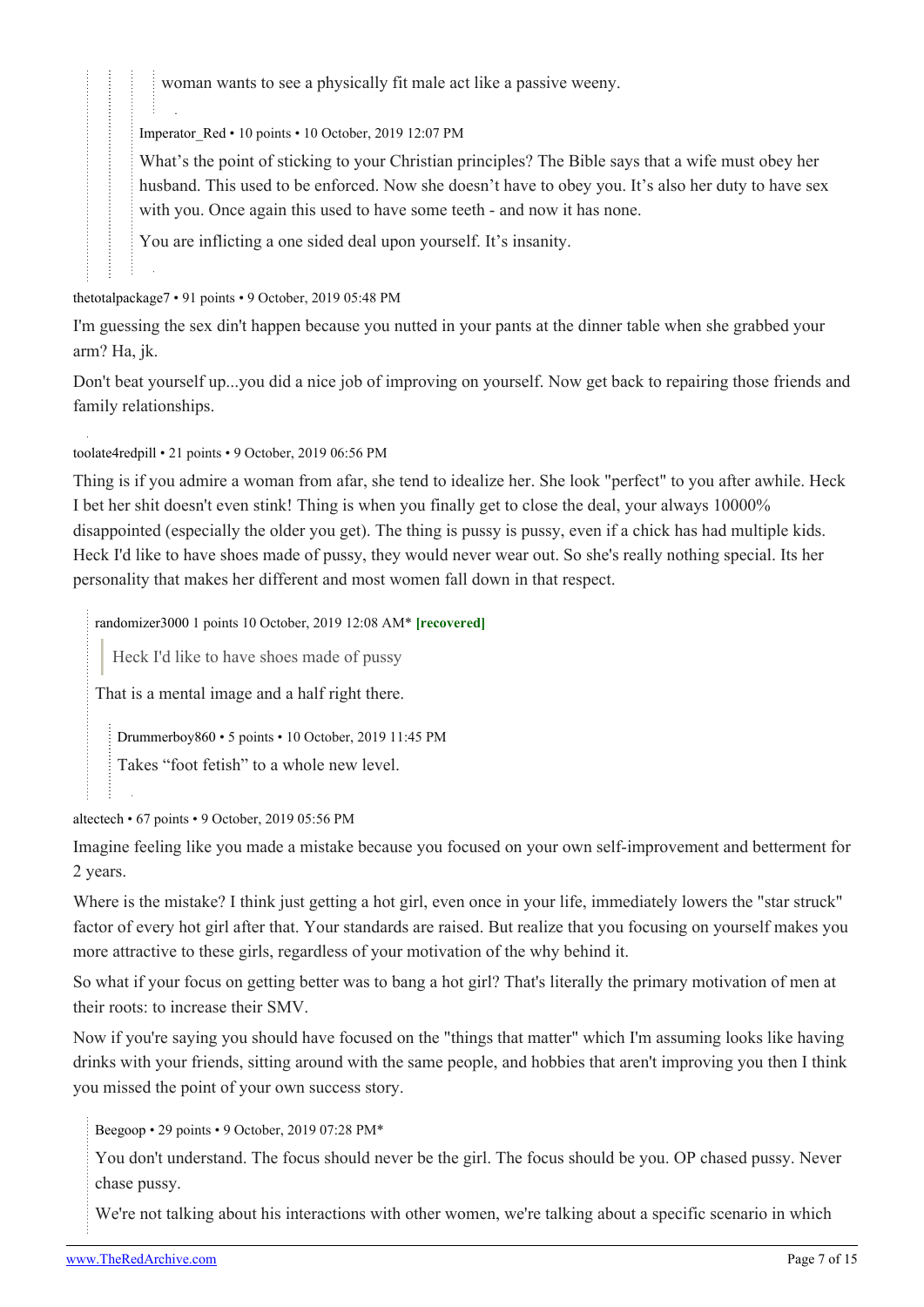woman wants to see a physically fit male act like a passive weeny.

[Imperator\\_Red](https://old.reddit.com/user/Imperator_Red) • 10 points • 10 October, 2019 12:07 PM

What's the point of sticking to your Christian principles? The Bible says that a wife must obey her husband. This used to be enforced. Now she doesn't have to obey you. It's also her duty to have sex with you. Once again this used to have some teeth - and now it has none.

You are inflicting a one sided deal upon yourself. It's insanity.

[thetotalpackage7](https://old.reddit.com/user/thetotalpackage7) • 91 points • 9 October, 2019 05:48 PM

I'm guessing the sex din't happen because you nutted in your pants at the dinner table when she grabbed your arm? Ha, jk.

Don't beat yourself up...you did a nice job of improving on yourself. Now get back to repairing those friends and family relationships.

[toolate4redpill](https://old.reddit.com/user/toolate4redpill) • 21 points • 9 October, 2019 06:56 PM

Thing is if you admire a woman from afar, she tend to idealize her. She look "perfect" to you after awhile. Heck I bet her shit doesn't even stink! Thing is when you finally get to close the deal, your always 10000% disappointed (especially the older you get). The thing is pussy is pussy, even if a chick has had multiple kids. Heck I'd like to have shoes made of pussy, they would never wear out. So she's really nothing special. Its her personality that makes her different and most women fall down in that respect.

[randomizer3000](https://old.reddit.com/user/randomizer3000) 1 points 10 October, 2019 12:08 AM\* **[recovered]**

Heck I'd like to have shoes made of pussy

That is a mental image and a half right there.

[Drummerboy860](https://old.reddit.com/user/Drummerboy860) • 5 points • 10 October, 2019 11:45 PM

Takes "foot fetish" to a whole new level.

[altectech](https://old.reddit.com/user/altectech) • 67 points • 9 October, 2019 05:56 PM

Imagine feeling like you made a mistake because you focused on your own self-improvement and betterment for 2 years.

Where is the mistake? I think just getting a hot girl, even once in your life, immediately lowers the "star struck" factor of every hot girl after that. Your standards are raised. But realize that you focusing on yourself makes you more attractive to these girls, regardless of your motivation of the why behind it.

So what if your focus on getting better was to bang a hot girl? That's literally the primary motivation of men at their roots: to increase their SMV.

Now if you're saying you should have focused on the "things that matter" which I'm assuming looks like having drinks with your friends, sitting around with the same people, and hobbies that aren't improving you then I think you missed the point of your own success story.

[Beegoop](https://old.reddit.com/user/Beegoop) • 29 points • 9 October, 2019 07:28 PM\*

You don't understand. The focus should never be the girl. The focus should be you. OP chased pussy. Never chase pussy.

We're not talking about his interactions with other women, we're talking about a specific scenario in which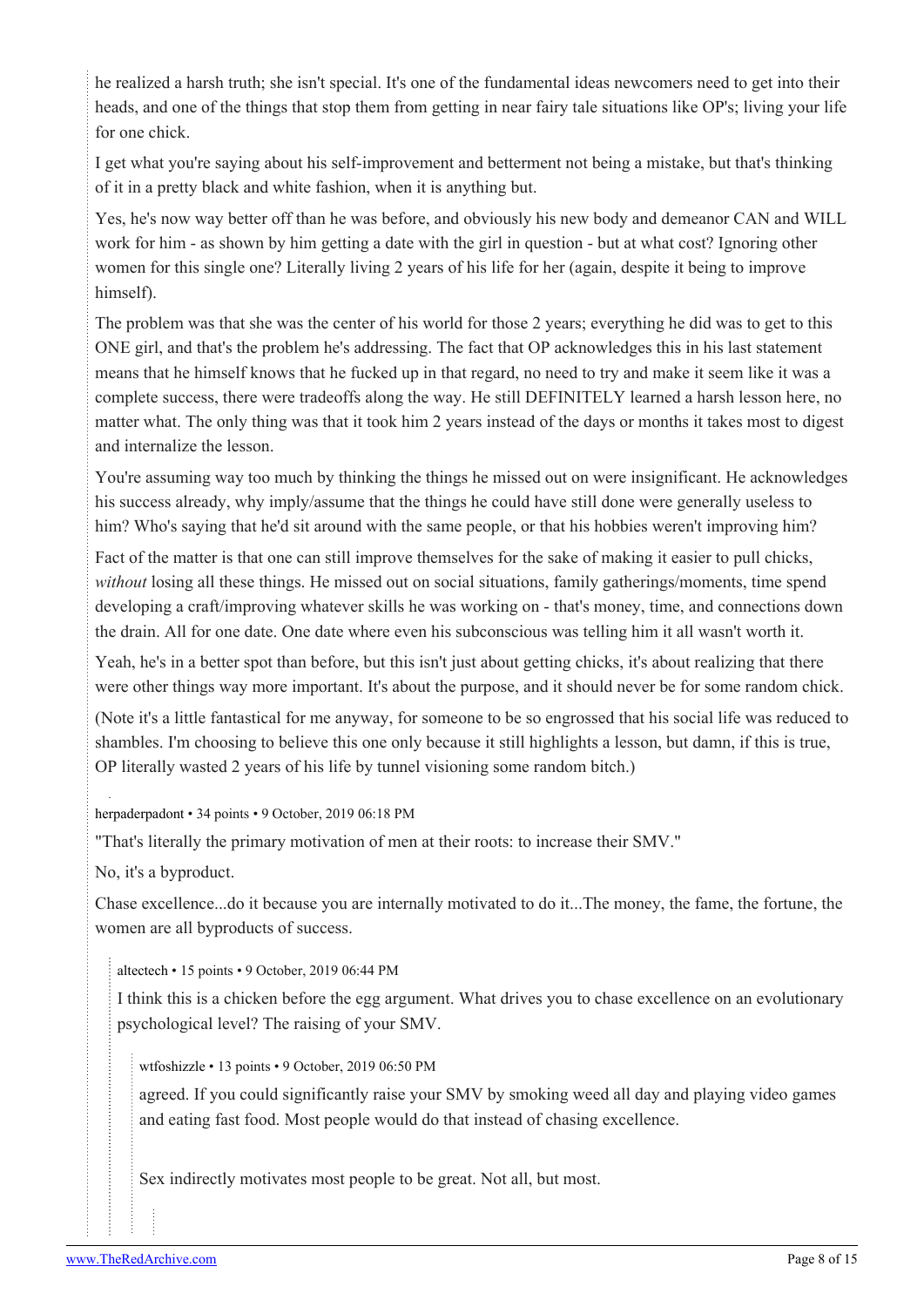he realized a harsh truth; she isn't special. It's one of the fundamental ideas newcomers need to get into their heads, and one of the things that stop them from getting in near fairy tale situations like OP's; living your life for one chick.

I get what you're saying about his self-improvement and betterment not being a mistake, but that's thinking of it in a pretty black and white fashion, when it is anything but.

Yes, he's now way better off than he was before, and obviously his new body and demeanor CAN and WILL work for him - as shown by him getting a date with the girl in question - but at what cost? Ignoring other women for this single one? Literally living 2 years of his life for her (again, despite it being to improve himself).

The problem was that she was the center of his world for those 2 years; everything he did was to get to this ONE girl, and that's the problem he's addressing. The fact that OP acknowledges this in his last statement means that he himself knows that he fucked up in that regard, no need to try and make it seem like it was a complete success, there were tradeoffs along the way. He still DEFINITELY learned a harsh lesson here, no matter what. The only thing was that it took him 2 years instead of the days or months it takes most to digest and internalize the lesson.

You're assuming way too much by thinking the things he missed out on were insignificant. He acknowledges his success already, why imply/assume that the things he could have still done were generally useless to him? Who's saying that he'd sit around with the same people, or that his hobbies weren't improving him?

Fact of the matter is that one can still improve themselves for the sake of making it easier to pull chicks, *without* losing all these things. He missed out on social situations, family gatherings/moments, time spend developing a craft/improving whatever skills he was working on - that's money, time, and connections down the drain. All for one date. One date where even his subconscious was telling him it all wasn't worth it.

Yeah, he's in a better spot than before, but this isn't just about getting chicks, it's about realizing that there were other things way more important. It's about the purpose, and it should never be for some random chick.

(Note it's a little fantastical for me anyway, for someone to be so engrossed that his social life was reduced to shambles. I'm choosing to believe this one only because it still highlights a lesson, but damn, if this is true, OP literally wasted 2 years of his life by tunnel visioning some random bitch.)

[herpaderpadont](https://old.reddit.com/user/herpaderpadont) • 34 points • 9 October, 2019 06:18 PM

"That's literally the primary motivation of men at their roots: to increase their SMV."

No, it's a byproduct.

Chase excellence...do it because you are internally motivated to do it...The money, the fame, the fortune, the women are all byproducts of success.

[altectech](https://old.reddit.com/user/altectech) • 15 points • 9 October, 2019 06:44 PM

I think this is a chicken before the egg argument. What drives you to chase excellence on an evolutionary psychological level? The raising of your SMV.

[wtfoshizzle](https://old.reddit.com/user/wtfoshizzle) • 13 points • 9 October, 2019 06:50 PM

agreed. If you could significantly raise your SMV by smoking weed all day and playing video games and eating fast food. Most people would do that instead of chasing excellence.

Sex indirectly motivates most people to be great. Not all, but most.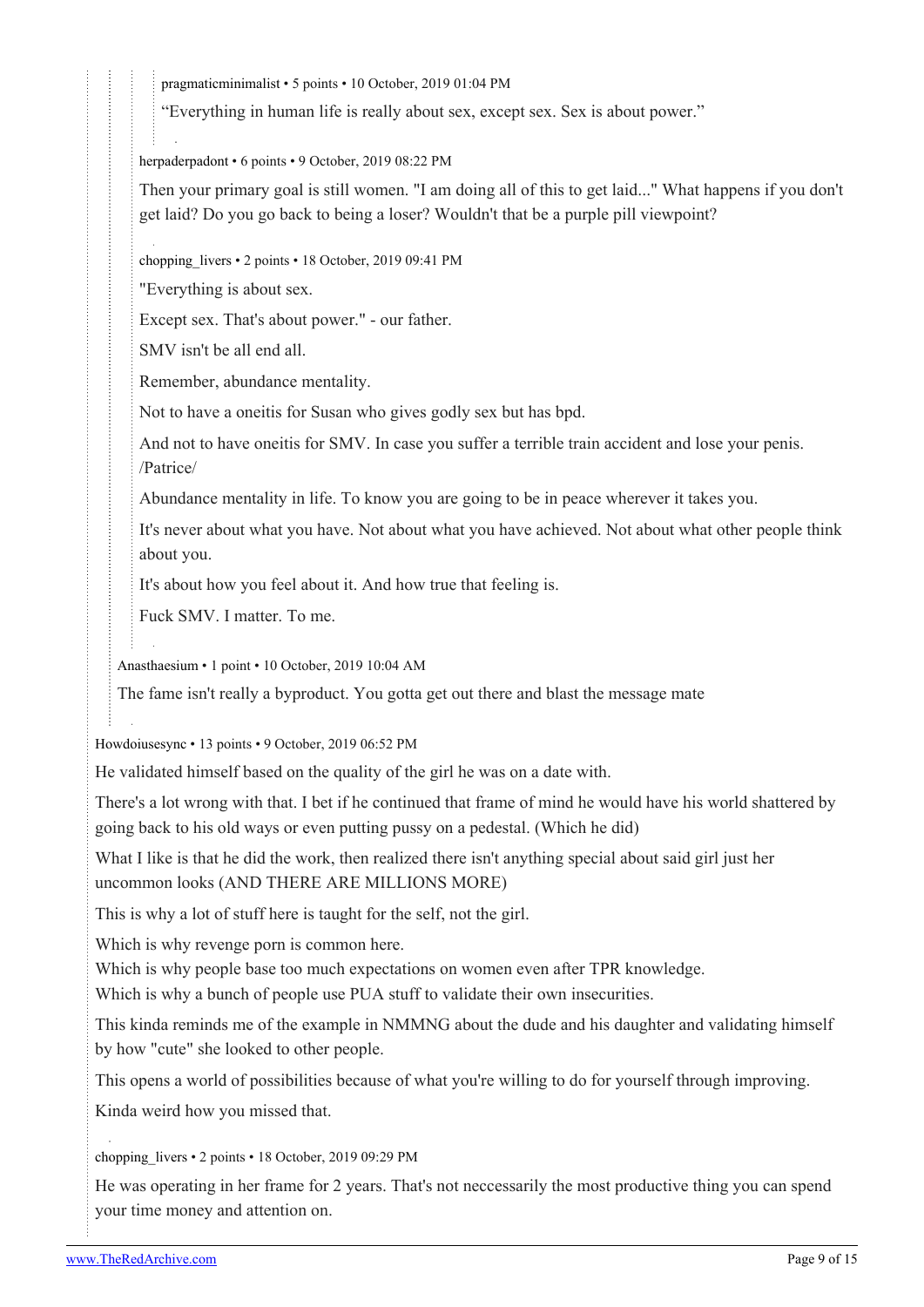[pragmaticminimalist](https://old.reddit.com/user/pragmaticminimalist) • 5 points • 10 October, 2019 01:04 PM

"Everything in human life is really about sex, except sex. Sex is about power."

[herpaderpadont](https://old.reddit.com/user/herpaderpadont) • 6 points • 9 October, 2019 08:22 PM

Then your primary goal is still women. "I am doing all of this to get laid..." What happens if you don't get laid? Do you go back to being a loser? Wouldn't that be a purple pill viewpoint?

[chopping\\_livers](https://old.reddit.com/user/chopping_livers) • 2 points • 18 October, 2019 09:41 PM

"Everything is about sex.

Except sex. That's about power." - our father.

SMV isn't be all end all.

Remember, abundance mentality.

Not to have a oneitis for Susan who gives godly sex but has bpd.

And not to have oneitis for SMV. In case you suffer a terrible train accident and lose your penis. /Patrice/

Abundance mentality in life. To know you are going to be in peace wherever it takes you.

It's never about what you have. Not about what you have achieved. Not about what other people think about you.

It's about how you feel about it. And how true that feeling is.

Fuck SMV. I matter. To me.

[Anasthaesium](https://old.reddit.com/user/Anasthaesium) • 1 point • 10 October, 2019 10:04 AM

The fame isn't really a byproduct. You gotta get out there and blast the message mate

[Howdoiusesync](https://old.reddit.com/user/Howdoiusesync) • 13 points • 9 October, 2019 06:52 PM

He validated himself based on the quality of the girl he was on a date with.

There's a lot wrong with that. I bet if he continued that frame of mind he would have his world shattered by going back to his old ways or even putting pussy on a pedestal. (Which he did)

What I like is that he did the work, then realized there isn't anything special about said girl just her uncommon looks (AND THERE ARE MILLIONS MORE)

This is why a lot of stuff here is taught for the self, not the girl.

Which is why revenge porn is common here.

Which is why people base too much expectations on women even after TPR knowledge.

Which is why a bunch of people use PUA stuff to validate their own insecurities.

This kinda reminds me of the example in NMMNG about the dude and his daughter and validating himself by how "cute" she looked to other people.

This opens a world of possibilities because of what you're willing to do for yourself through improving.

Kinda weird how you missed that.

#### chopping livers • 2 points • 18 October, 2019 09:29 PM

He was operating in her frame for 2 years. That's not neccessarily the most productive thing you can spend your time money and attention on.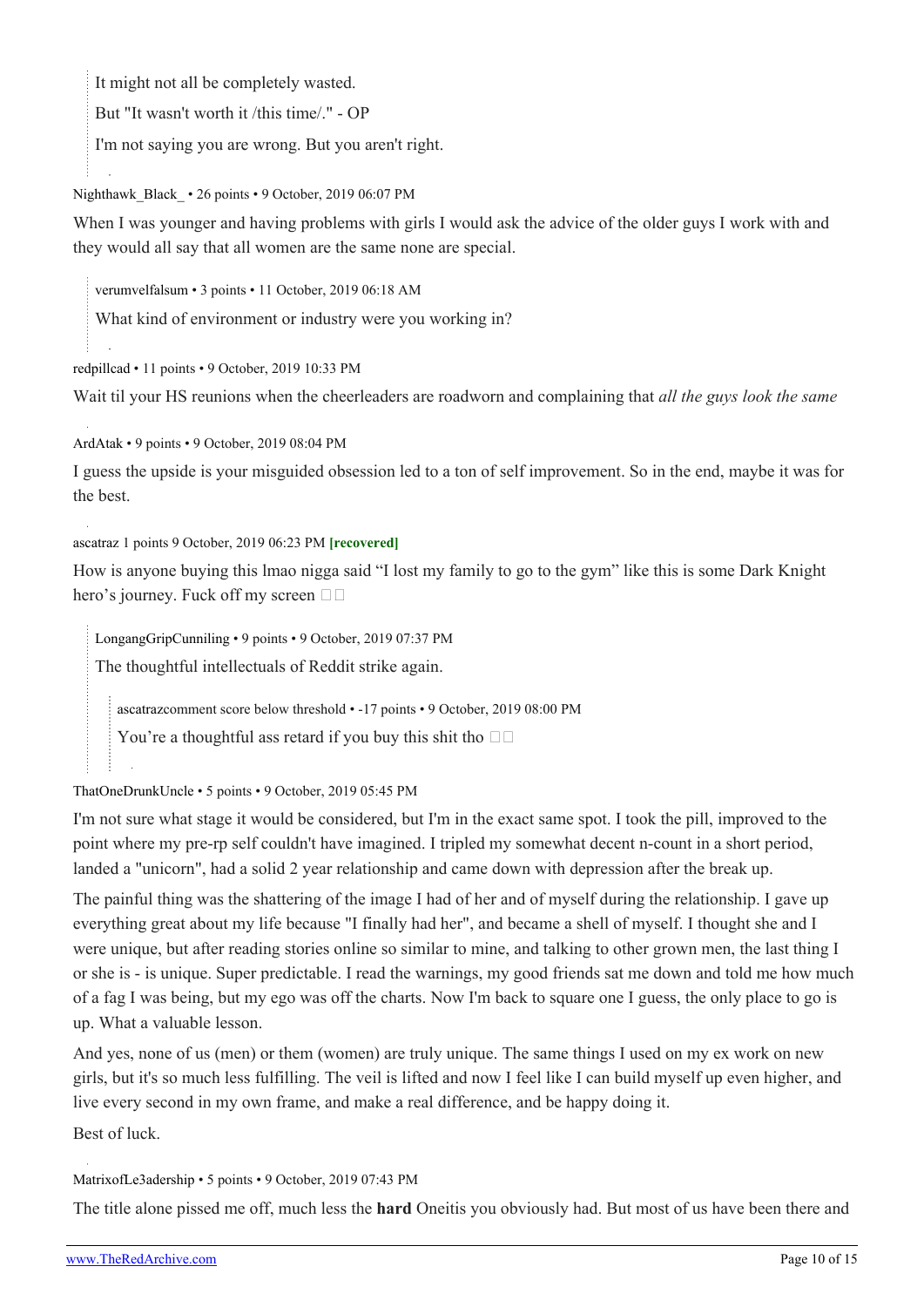It might not all be completely wasted.

But "It wasn't worth it /this time/." - OP

I'm not saying you are wrong. But you aren't right.

Nighthawk\_Black • 26 points • 9 October, 2019 06:07 PM

When I was younger and having problems with girls I would ask the advice of the older guys I work with and they would all say that all women are the same none are special.

[verumvelfalsum](https://old.reddit.com/user/verumvelfalsum) • 3 points • 11 October, 2019 06:18 AM

What kind of environment or industry were you working in?

[redpillcad](https://old.reddit.com/user/redpillcad) • 11 points • 9 October, 2019 10:33 PM

Wait til your HS reunions when the cheerleaders are roadworn and complaining that *all the guys look the same*

[ArdAtak](https://old.reddit.com/user/ArdAtak) • 9 points • 9 October, 2019 08:04 PM

I guess the upside is your misguided obsession led to a ton of self improvement. So in the end, maybe it was for the best.

[ascatraz](https://old.reddit.com/user/ascatraz) 1 points 9 October, 2019 06:23 PM **[recovered]**

How is anyone buying this lmao nigga said "I lost my family to go to the gym" like this is some Dark Knight hero's journey. Fuck off my screen  $\square \square$ 

[LongangGripCunniling](https://old.reddit.com/user/LongangGripCunniling) • 9 points • 9 October, 2019 07:37 PM The thoughtful intellectuals of Reddit strike again.

[ascatraz](https://old.reddit.com/user/ascatraz)comment score below threshold • -17 points • 9 October, 2019 08:00 PM

You're a thoughtful ass retard if you buy this shit tho  $\Box$ 

[ThatOneDrunkUncle](https://old.reddit.com/user/ThatOneDrunkUncle) • 5 points • 9 October, 2019 05:45 PM

I'm not sure what stage it would be considered, but I'm in the exact same spot. I took the pill, improved to the point where my pre-rp self couldn't have imagined. I tripled my somewhat decent n-count in a short period, landed a "unicorn", had a solid 2 year relationship and came down with depression after the break up.

The painful thing was the shattering of the image I had of her and of myself during the relationship. I gave up everything great about my life because "I finally had her", and became a shell of myself. I thought she and I were unique, but after reading stories online so similar to mine, and talking to other grown men, the last thing I or she is - is unique. Super predictable. I read the warnings, my good friends sat me down and told me how much of a fag I was being, but my ego was off the charts. Now I'm back to square one I guess, the only place to go is up. What a valuable lesson.

And yes, none of us (men) or them (women) are truly unique. The same things I used on my ex work on new girls, but it's so much less fulfilling. The veil is lifted and now I feel like I can build myself up even higher, and live every second in my own frame, and make a real difference, and be happy doing it.

Best of luck.

[MatrixofLe3adership](https://old.reddit.com/user/MatrixofLe3adership) • 5 points • 9 October, 2019 07:43 PM

The title alone pissed me off, much less the **hard** Oneitis you obviously had. But most of us have been there and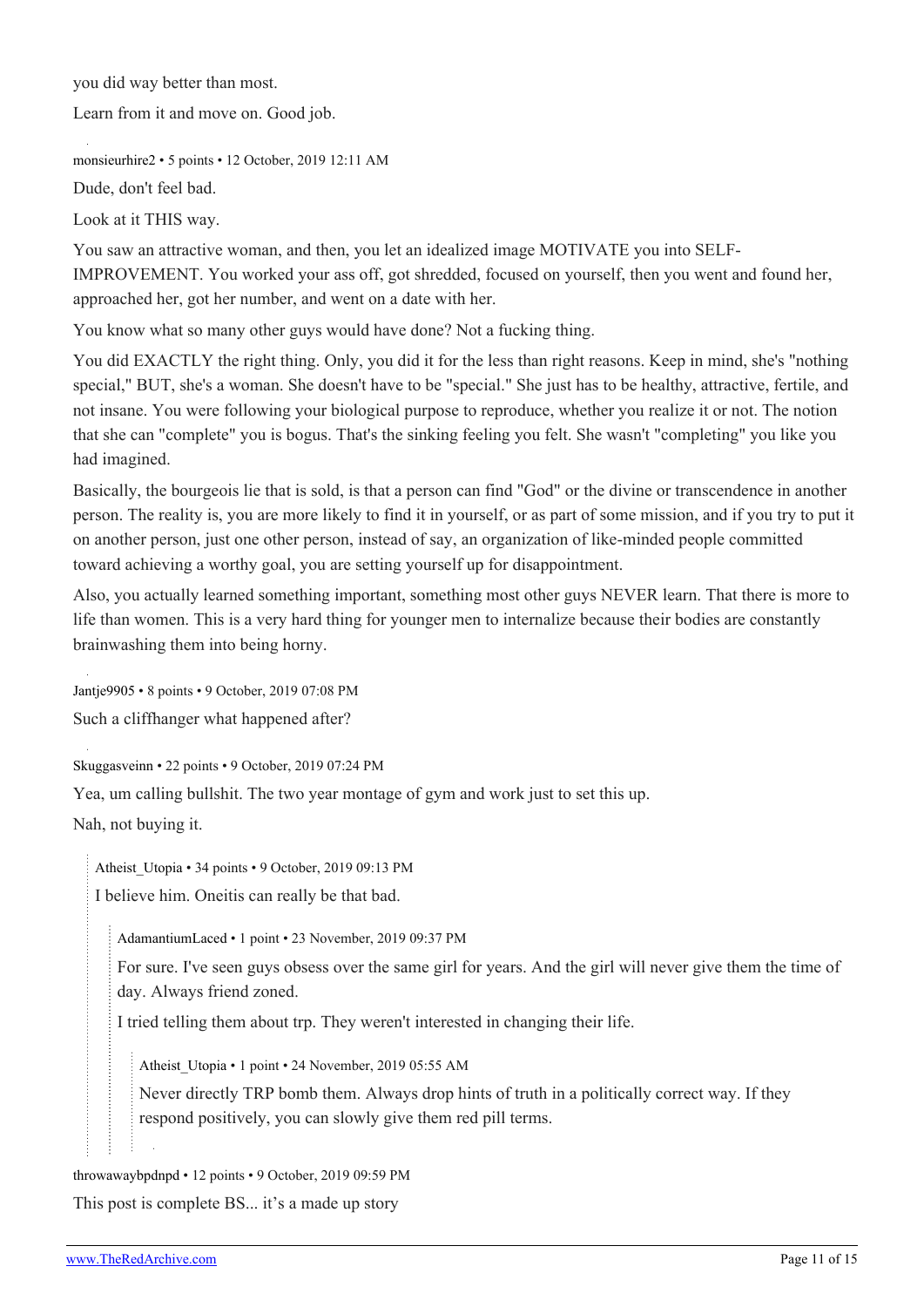you did way better than most.

Learn from it and move on. Good job.

[monsieurhire2](https://old.reddit.com/user/monsieurhire2) • 5 points • 12 October, 2019 12:11 AM

Dude, don't feel bad.

Look at it THIS way.

You saw an attractive woman, and then, you let an idealized image MOTIVATE you into SELF-IMPROVEMENT. You worked your ass off, got shredded, focused on yourself, then you went and found her, approached her, got her number, and went on a date with her.

You know what so many other guys would have done? Not a fucking thing.

You did EXACTLY the right thing. Only, you did it for the less than right reasons. Keep in mind, she's "nothing special," BUT, she's a woman. She doesn't have to be "special." She just has to be healthy, attractive, fertile, and not insane. You were following your biological purpose to reproduce, whether you realize it or not. The notion that she can "complete" you is bogus. That's the sinking feeling you felt. She wasn't "completing" you like you had imagined.

Basically, the bourgeois lie that is sold, is that a person can find "God" or the divine or transcendence in another person. The reality is, you are more likely to find it in yourself, or as part of some mission, and if you try to put it on another person, just one other person, instead of say, an organization of like-minded people committed toward achieving a worthy goal, you are setting yourself up for disappointment.

Also, you actually learned something important, something most other guys NEVER learn. That there is more to life than women. This is a very hard thing for younger men to internalize because their bodies are constantly brainwashing them into being horny.

[Jantje9905](https://old.reddit.com/user/Jantje9905) • 8 points • 9 October, 2019 07:08 PM

Such a cliffhanger what happened after?

[Skuggasveinn](https://old.reddit.com/user/Skuggasveinn) • 22 points • 9 October, 2019 07:24 PM

Yea, um calling bullshit. The two year montage of gym and work just to set this up.

Nah, not buying it.

[Atheist\\_Utopia](https://old.reddit.com/user/Atheist_Utopia) • 34 points • 9 October, 2019 09:13 PM I believe him. Oneitis can really be that bad.

[AdamantiumLaced](https://old.reddit.com/user/AdamantiumLaced) • 1 point • 23 November, 2019 09:37 PM

For sure. I've seen guys obsess over the same girl for years. And the girl will never give them the time of day. Always friend zoned.

I tried telling them about trp. They weren't interested in changing their life.

[Atheist\\_Utopia](https://old.reddit.com/user/Atheist_Utopia) • 1 point • 24 November, 2019 05:55 AM

Never directly TRP bomb them. Always drop hints of truth in a politically correct way. If they respond positively, you can slowly give them red pill terms.

[throwawaybpdnpd](https://old.reddit.com/user/throwawaybpdnpd) • 12 points • 9 October, 2019 09:59 PM

This post is complete BS... it's a made up story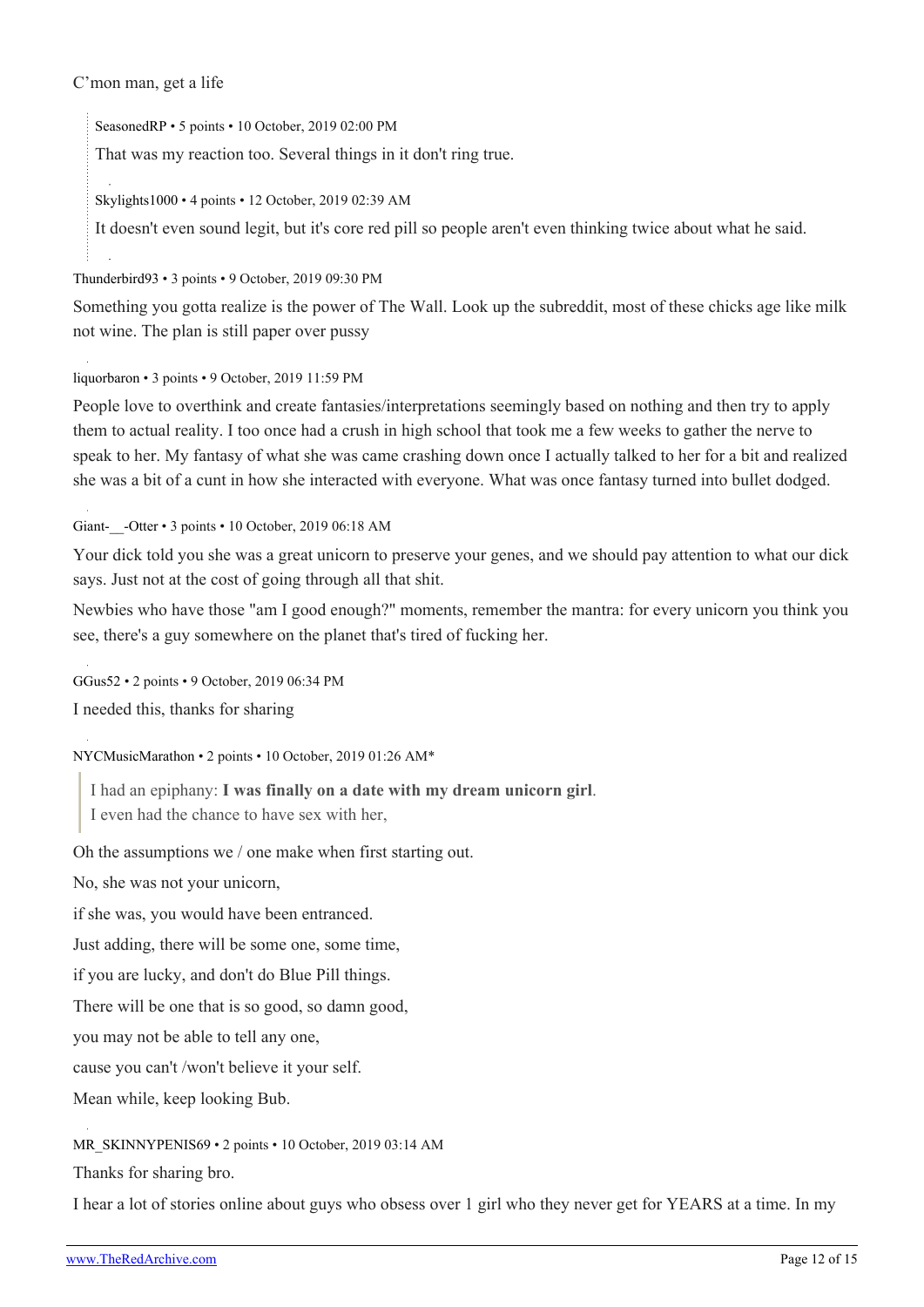#### C'mon man, get a life

[SeasonedRP](https://old.reddit.com/user/SeasonedRP) • 5 points • 10 October, 2019 02:00 PM

That was my reaction too. Several things in it don't ring true.

[Skylights1000](https://old.reddit.com/user/Skylights1000) • 4 points • 12 October, 2019 02:39 AM

It doesn't even sound legit, but it's core red pill so people aren't even thinking twice about what he said.

[Thunderbird93](https://old.reddit.com/user/Thunderbird93) • 3 points • 9 October, 2019 09:30 PM

Something you gotta realize is the power of The Wall. Look up the subreddit, most of these chicks age like milk not wine. The plan is still paper over pussy

[liquorbaron](https://old.reddit.com/user/liquorbaron) • 3 points • 9 October, 2019 11:59 PM

People love to overthink and create fantasies/interpretations seemingly based on nothing and then try to apply them to actual reality. I too once had a crush in high school that took me a few weeks to gather the nerve to speak to her. My fantasy of what she was came crashing down once I actually talked to her for a bit and realized she was a bit of a cunt in how she interacted with everyone. What was once fantasy turned into bullet dodged.

Giant- -Otter • 3 points • 10 October, 2019 06:18 AM

Your dick told you she was a great unicorn to preserve your genes, and we should pay attention to what our dick says. Just not at the cost of going through all that shit.

Newbies who have those "am I good enough?" moments, remember the mantra: for every unicorn you think you see, there's a guy somewhere on the planet that's tired of fucking her.

[GGus52](https://old.reddit.com/user/GGus52) • 2 points • 9 October, 2019 06:34 PM

I needed this, thanks for sharing

[NYCMusicMarathon](https://old.reddit.com/user/NYCMusicMarathon) • 2 points • 10 October, 2019 01:26 AM\*

I had an epiphany: **I was finally on a date with my dream unicorn girl**.

I even had the chance to have sex with her,

Oh the assumptions we / one make when first starting out.

No, she was not your unicorn,

if she was, you would have been entranced.

Just adding, there will be some one, some time,

if you are lucky, and don't do Blue Pill things.

There will be one that is so good, so damn good,

you may not be able to tell any one,

cause you can't /won't believe it your self.

Mean while, keep looking Bub.

[MR\\_SKINNYPENIS69](https://old.reddit.com/user/MR_SKINNYPENIS69) • 2 points • 10 October, 2019 03:14 AM

Thanks for sharing bro.

I hear a lot of stories online about guys who obsess over 1 girl who they never get for YEARS at a time. In my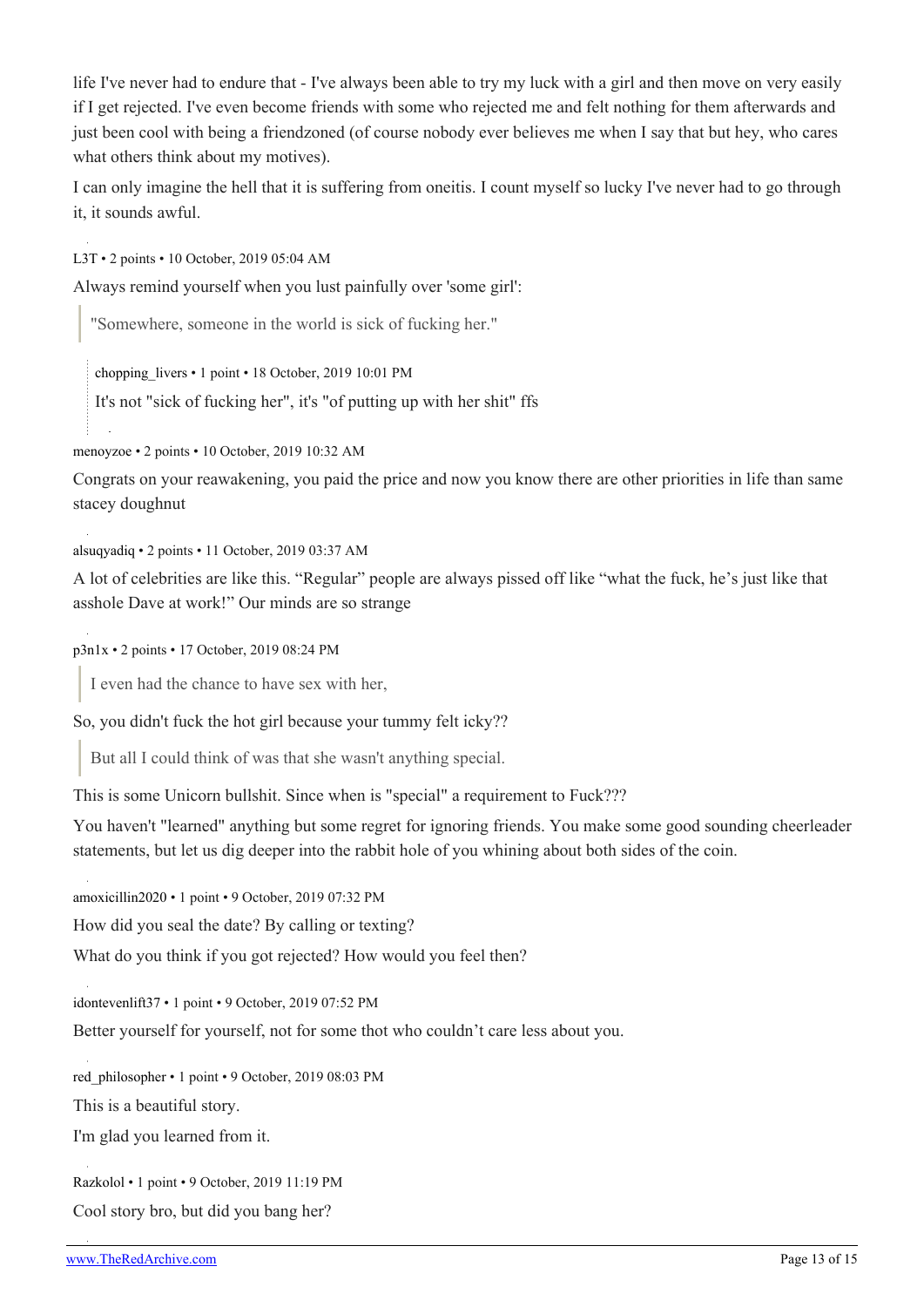life I've never had to endure that - I've always been able to try my luck with a girl and then move on very easily if I get rejected. I've even become friends with some who rejected me and felt nothing for them afterwards and just been cool with being a friendzoned (of course nobody ever believes me when I say that but hey, who cares what others think about my motives).

I can only imagine the hell that it is suffering from oneitis. I count myself so lucky I've never had to go through it, it sounds awful.

[L3T](https://old.reddit.com/user/L3T) • 2 points • 10 October, 2019 05:04 AM

Always remind yourself when you lust painfully over 'some girl':

"Somewhere, someone in the world is sick of fucking her."

[chopping\\_livers](https://old.reddit.com/user/chopping_livers) • 1 point • 18 October, 2019 10:01 PM

It's not "sick of fucking her", it's "of putting up with her shit" ffs

[menoyzoe](https://old.reddit.com/user/menoyzoe) • 2 points • 10 October, 2019 10:32 AM

Congrats on your reawakening, you paid the price and now you know there are other priorities in life than same stacey doughnut

[alsuqyadiq](https://old.reddit.com/user/alsuqyadiq) • 2 points • 11 October, 2019 03:37 AM

A lot of celebrities are like this. "Regular" people are always pissed off like "what the fuck, he's just like that asshole Dave at work!" Our minds are so strange

[p3n1x](https://old.reddit.com/user/p3n1x) • 2 points • 17 October, 2019 08:24 PM

I even had the chance to have sex with her,

So, you didn't fuck the hot girl because your tummy felt icky??

But all I could think of was that she wasn't anything special.

This is some Unicorn bullshit. Since when is "special" a requirement to Fuck???

You haven't "learned" anything but some regret for ignoring friends. You make some good sounding cheerleader statements, but let us dig deeper into the rabbit hole of you whining about both sides of the coin.

[amoxicillin2020](https://old.reddit.com/user/amoxicillin2020) • 1 point • 9 October, 2019 07:32 PM

How did you seal the date? By calling or texting?

What do you think if you got rejected? How would you feel then?

[idontevenlift37](https://old.reddit.com/user/idontevenlift37) • 1 point • 9 October, 2019 07:52 PM

Better yourself for yourself, not for some thot who couldn't care less about you.

red philosopher • 1 point • 9 October, 2019 08:03 PM

This is a beautiful story.

I'm glad you learned from it.

[Razkolol](https://old.reddit.com/user/Razkolol) • 1 point • 9 October, 2019 11:19 PM

Cool story bro, but did you bang her?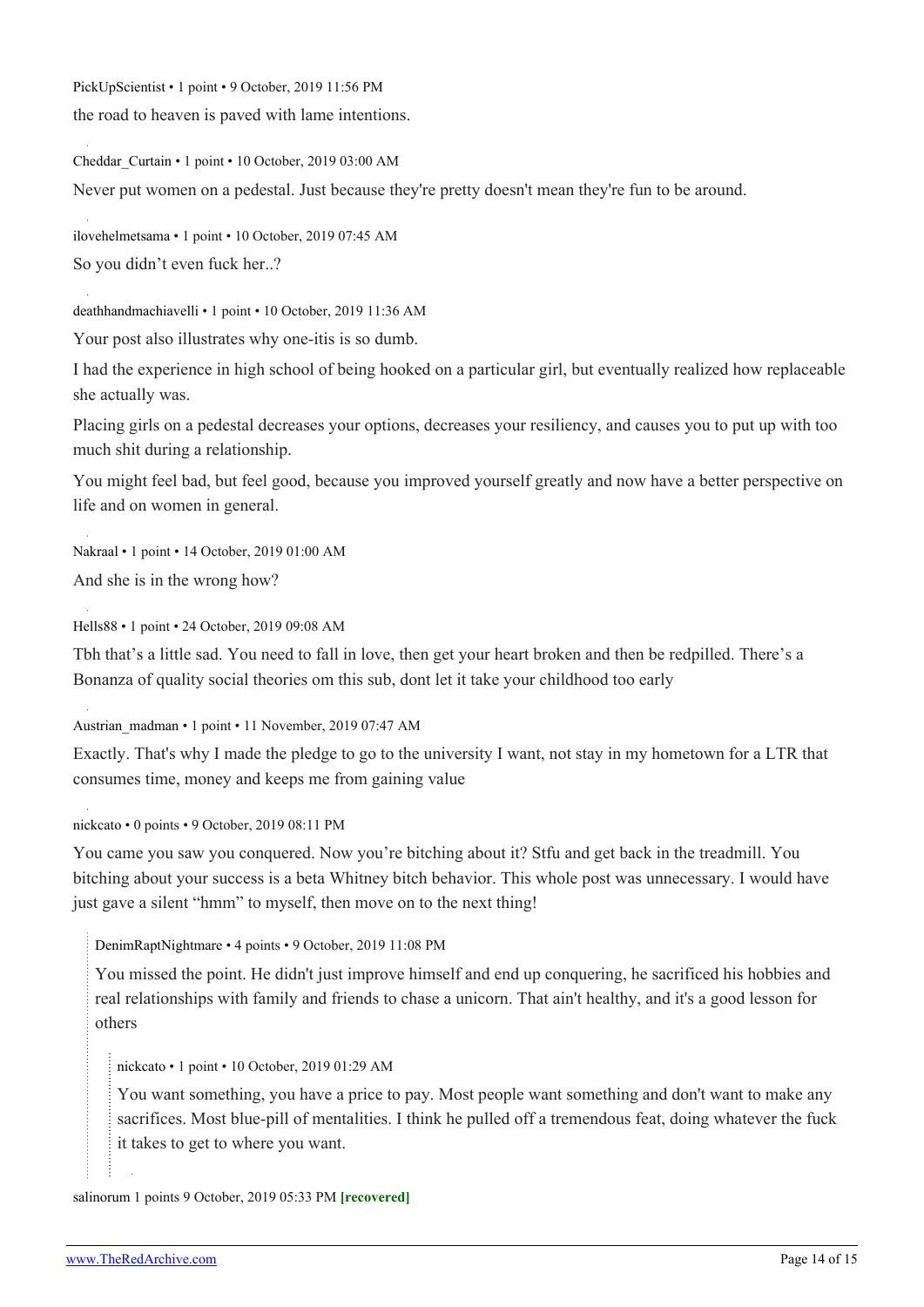[PickUpScientist](https://old.reddit.com/user/PickUpScientist) • 1 point • 9 October, 2019 11:56 PM

the road to heaven is paved with lame intentions.

[Cheddar\\_Curtain](https://old.reddit.com/user/Cheddar_Curtain) • 1 point • 10 October, 2019 03:00 AM

Never put women on a pedestal. Just because they're pretty doesn't mean they're fun to be around.

[ilovehelmetsama](https://old.reddit.com/user/ilovehelmetsama) • 1 point • 10 October, 2019 07:45 AM So you didn't even fuck her..?

[deathhandmachiavelli](https://old.reddit.com/user/deathhandmachiavelli) • 1 point • 10 October, 2019 11:36 AM

Your post also illustrates why one-itis is so dumb.

I had the experience in high school of being hooked on a particular girl, but eventually realized how replaceable she actually was.

Placing girls on a pedestal decreases your options, decreases your resiliency, and causes you to put up with too much shit during a relationship.

You might feel bad, but feel good, because you improved yourself greatly and now have a better perspective on life and on women in general.

[Nakraal](https://old.reddit.com/user/Nakraal) • 1 point • 14 October, 2019 01:00 AM And she is in the wrong how?

[Hells88](https://old.reddit.com/user/Hells88) • 1 point • 24 October, 2019 09:08 AM

Tbh that's a little sad. You need to fall in love, then get your heart broken and then be redpilled. There's a Bonanza of quality social theories om this sub, dont let it take your childhood too early

[Austrian\\_madman](https://old.reddit.com/user/Austrian_madman) • 1 point • 11 November, 2019 07:47 AM

Exactly. That's why I made the pledge to go to the university I want, not stay in my hometown for a LTR that consumes time, money and keeps me from gaining value

[nickcato](https://old.reddit.com/user/nickcato) • 0 points • 9 October, 2019 08:11 PM

You came you saw you conquered. Now you're bitching about it? Stfu and get back in the treadmill. You bitching about your success is a beta Whitney bitch behavior. This whole post was unnecessary. I would have just gave a silent "hmm" to myself, then move on to the next thing!

[DenimRaptNightmare](https://old.reddit.com/user/DenimRaptNightmare) • 4 points • 9 October, 2019 11:08 PM

You missed the point. He didn't just improve himself and end up conquering, he sacrificed his hobbies and real relationships with family and friends to chase a unicorn. That ain't healthy, and it's a good lesson for others

[nickcato](https://old.reddit.com/user/nickcato) • 1 point • 10 October, 2019 01:29 AM

You want something, you have a price to pay. Most people want something and don't want to make any sacrifices. Most blue-pill of mentalities. I think he pulled off a tremendous feat, doing whatever the fuck it takes to get to where you want.

[salinorum](https://old.reddit.com/user/salinorum) 1 points 9 October, 2019 05:33 PM **[recovered]**